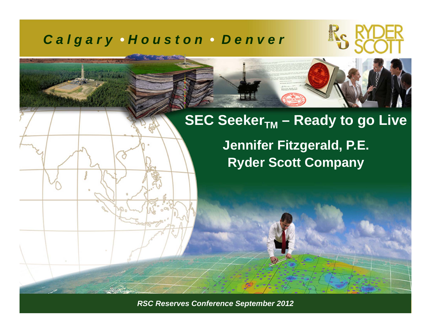#### *C a l g a r y • H o u s t o n • D e n v e r*



#### **SEC Seeker<sub>TM</sub> – Ready to go Live**

**Jennifer Fitzgerald, P.E. Ryder Scott Company**

*RSC Reserves Conference September 2011 ©Ryder Scott Company, L.P. RSC Reserves Conference September 2012*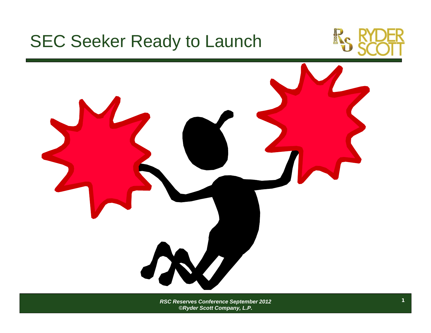

*RSC Reserves Conference September 2012 ©Ryder Scott Company, L.P.*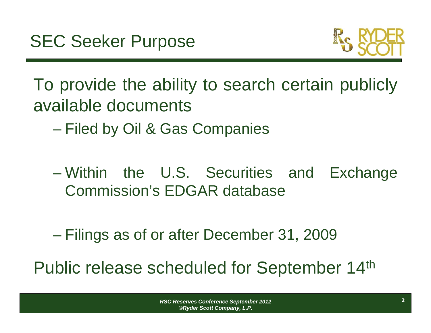

To provide the ability to search certain publicly available documents

- $\mathcal{L}_{\mathcal{A}}$ Filed by Oil & Gas Companies
- Within the U.S. Securities and Exchange Commission's EDGAR database
- Filings as of or after December 31, 2009
- Public release scheduled for September 14th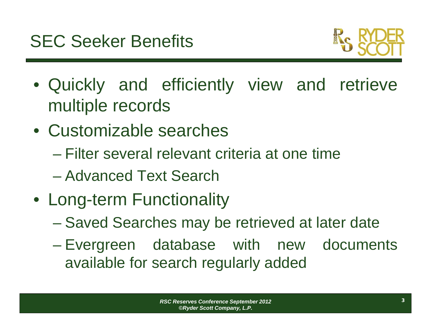

- Quickly and efficiently view and retrieve multiple records
- Customizable searches
	- Filter several relevant criteria at one time
	- Advanced Text Search
- Long-term Functionality
	- Saved Searches may be retrieved at later date
	- Evergreen database with new documents available for search regularly added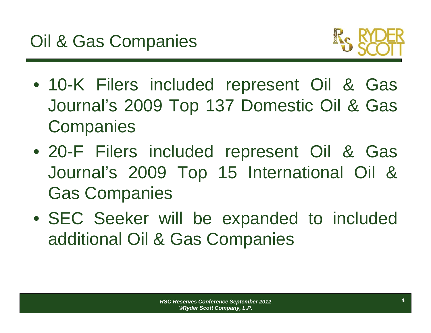

- 10-K Filers included represent Oil & Gas Journal's 2009 Top 137 Domestic Oil & Gas **Companies**
- 20-F Filers included represent Oil & Gas Journal's 2009 Top 15 International Oil & Gas Companies
- SEC Seeker will be expanded to included additional Oil & Gas Companies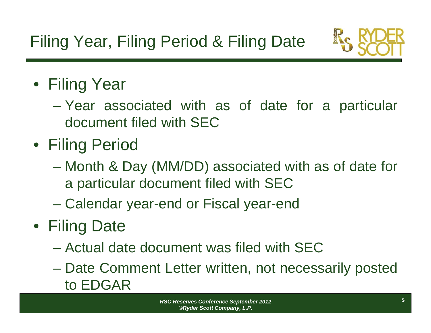

#### • Filing Year

- Year associated with as of date for <sup>a</sup> particular document filed with SEC
- Filing Period
	- Month & Day (MM/DD) associated with as of date for <sup>a</sup> particular document filed with SEC
	- Calendar year-end or Fiscal year-end
- Filing Date
	- Actual date document was filed with SEC
	- Date Comment Letter written, not necessarily posted to EDGAR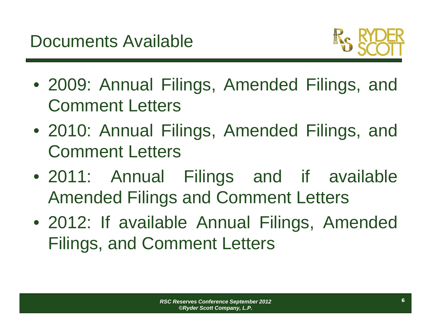

- 2009: Annual Filings, Amended Filings, and Comment Letters
- 2010: Annual Filings, Amended Filings, and Comment Letters
- 2011: Annual Filings and if available Amended Filings and Comment Letters
- 2012: If available Annual Filings, Amended Filings, and Comment Letters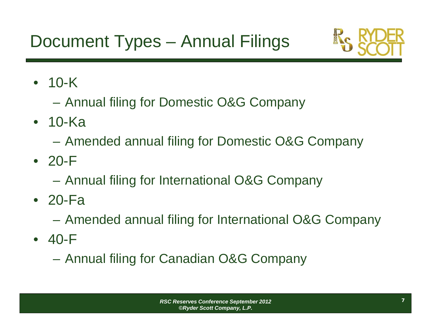## Document Types – Annual Filings



• 10-K

- $\mathcal{L}_{\mathcal{A}}$ Annual filing for Domestic O&G Company
- 10-Ka
	- $\mathcal{L}_{\mathcal{A}}$ Amended annual filing for Domestic O&G Company
- 20-F
	- $\mathcal{L}_{\mathcal{A}}$ Annual filing for International O&G Company
- 20-Fa
	- $\mathcal{L}_{\mathcal{A}}$ Amended annual filing for International O&G Company
- 40-F
	- $\mathcal{L}_{\mathcal{A}}$ Annual filing for Canadian O&G Company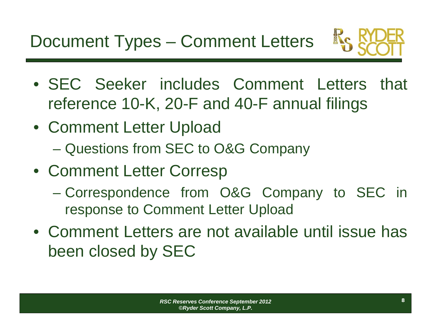

- SEC Seeker includes Comment Letters that reference 10-K, 20-F and 40-F annual filings
- Comment Letter Upload
	- Questions from SEC to O&G Company
- Comment Letter Corresp
	- Correspondence from O&G Company to SEC in response to Comment Letter Upload
- Comment Letters are not available until issue has been closed by SEC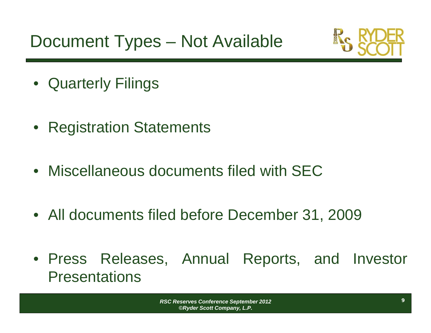Document Types – Not Available



- Quarterly Filings
- $\bullet$ Registration Statements
- Miscellaneous documents filed with SEC
- All documents filed before December 31, 2009
- Press Releases, Annual Reports, and Investor **Presentations**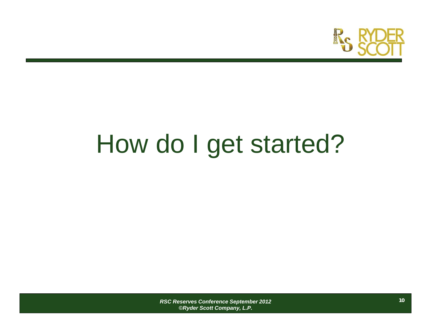

# How do I get started?

*RSC Reserves Conference September 2012 ©Ryder Scott Company, L.P.*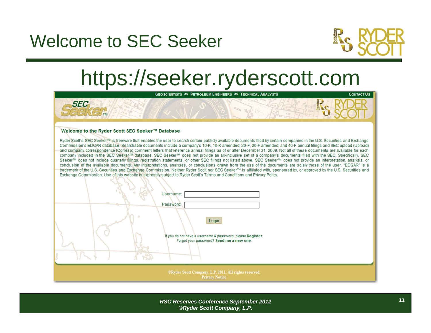#### Welcome to SEC Seeker



## https://seeker.ryderscott.com



*RSC Reserves Conference September 2012 ©Ryder Scott Company, L.P.*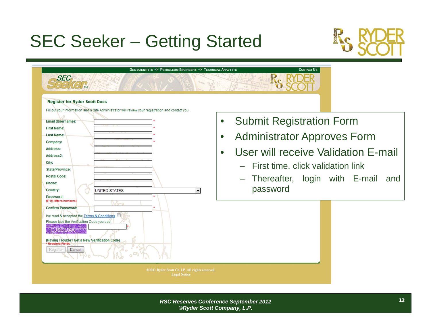## SEC Seeker – Getting Started



| <b>GEOSCIENTISTS CO PETROLEUM ENGINEERS CO TECHNICAL ANALYSTS</b><br><b>SEC</b><br><b>Register for Ryder Scott Docs</b>                                                                                                                                                                                                                                                                                                                                                                                                                                                                                                                                    | <b>CONTACT US</b>                                                                                                                                                                                                                                                                                    |
|------------------------------------------------------------------------------------------------------------------------------------------------------------------------------------------------------------------------------------------------------------------------------------------------------------------------------------------------------------------------------------------------------------------------------------------------------------------------------------------------------------------------------------------------------------------------------------------------------------------------------------------------------------|------------------------------------------------------------------------------------------------------------------------------------------------------------------------------------------------------------------------------------------------------------------------------------------------------|
| Fill out your information and a Site Administrator will review your registration and contact you.<br><b>Email (Username):</b><br><b>First Name:</b><br><b>Last Name:</b><br>Company:<br><b>Address:</b><br>Address2:<br>City:<br><b>State/Province:</b><br><b>Postal Code:</b><br>Phone:<br><b>Country:</b><br><b>UNITED STATES</b><br>$\overline{\phantom{a}}$<br>Password:<br>(6-15 letters/numbers)<br>Word<br><b>Confirm Password:</b><br>I've read & accepted the Terms & Conditions<br>Please type the Verification Code you see:<br><b>OJSOUXA</b><br>(Having Trouble? Get a New Verification Code)<br><b>Required Fields</b><br>Register<br>Cancel | <b>Submit Registration Form</b><br>$\bullet$<br><b>Administrator Approves Form</b><br>$\bullet$<br>User will receive Validation E-mail<br>$\bullet$<br>First time, click validation link<br>$\overline{\phantom{0}}$<br>Thereafter, login with E-mail<br>and<br>$\overline{\phantom{0}}$<br>password |
| @2011 Ryder Scott Co. LP. All rights reserved.<br><b>Legal Notice</b>                                                                                                                                                                                                                                                                                                                                                                                                                                                                                                                                                                                      |                                                                                                                                                                                                                                                                                                      |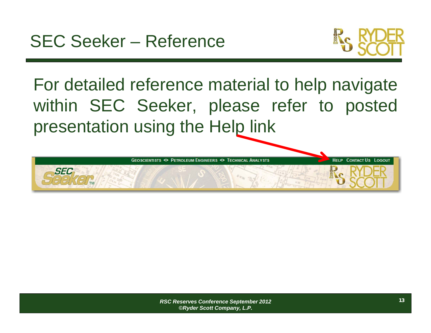

For detailed reference material to help navigate within SEC Seeker, please refer to posted presentation using the Help link